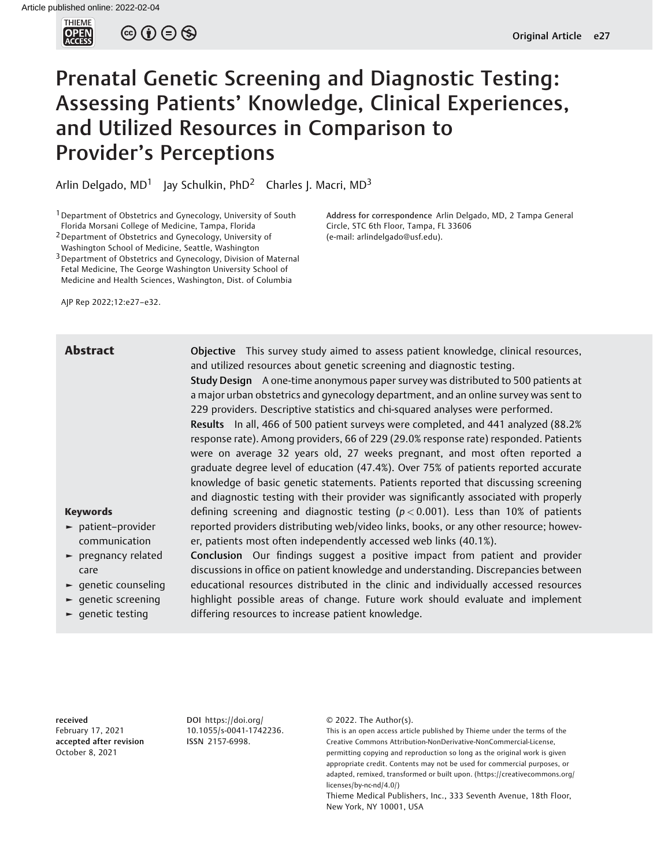

 $\circledcirc$   $\oplus$   $\circledcirc$ 

# Prenatal Genetic Screening and Diagnostic Testing: Assessing Patients' Knowledge, Clinical Experiences, and Utilized Resources in Comparison to Provider's Perceptions

Arlin Delgado,  $MD<sup>1</sup>$  Jay Schulkin, PhD<sup>2</sup> Charles J. Macri, MD<sup>3</sup>

<sup>1</sup> Department of Obstetrics and Gynecology, University of South Florida Morsani College of Medicine, Tampa, Florida

2Department of Obstetrics and Gynecology, University of

Washington School of Medicine, Seattle, Washington

<sup>3</sup> Department of Obstetrics and Gynecology, Division of Maternal Fetal Medicine, The George Washington University School of Medicine and Health Sciences, Washington, Dist. of Columbia

AJP Rep 2022;12:e27–e32.

Abstract Objective This survey study aimed to assess patient knowledge, clinical resources, and utilized resources about genetic screening and diagnostic testing.

Circle, STC 6th Floor, Tampa, FL 33606 (e-mail: [arlindelgado@usf.edu](mailto:arlindelgado@usf.edu)).

Address for correspondence Arlin Delgado, MD, 2 Tampa General

Study Design A one-time anonymous paper survey was distributed to 500 patients at a major urban obstetrics and gynecology department, and an online survey was sent to 229 providers. Descriptive statistics and chi-squared analyses were performed.

Results In all, 466 of 500 patient surveys were completed, and 441 analyzed (88.2% response rate). Among providers, 66 of 229 (29.0% response rate) responded. Patients were on average 32 years old, 27 weeks pregnant, and most often reported a graduate degree level of education (47.4%). Over 75% of patients reported accurate knowledge of basic genetic statements. Patients reported that discussing screening and diagnostic testing with their provider was significantly associated with properly defining screening and diagnostic testing ( $p < 0.001$ ). Less than 10% of patients reported providers distributing web/video links, books, or any other resource; however, patients most often independently accessed web links (40.1%).

Conclusion Our findings suggest a positive impact from patient and provider discussions in office on patient knowledge and understanding. Discrepancies between educational resources distributed in the clinic and individually accessed resources highlight possible areas of change. Future work should evaluate and implement differing resources to increase patient knowledge.

# Keywords

- ► patient–provider communication
- ► pregnancy related care
- ► genetic counseling
- ► genetic screening
- ► genetic testing

received February 17, 2021 accepted after revision October 8, 2021

DOI [https://doi.org/](https://doi.org/10.1055/s-0041-1742236) [10.1055/s-0041-1742236](https://doi.org/10.1055/s-0041-1742236). ISSN 2157-6998.

© 2022. The Author(s).

This is an open access article published by Thieme under the terms of the Creative Commons Attribution-NonDerivative-NonCommercial-License, permitting copying and reproduction so long as the original work is given appropriate credit. Contents may not be used for commercial purposes, or adapted, remixed, transformed or built upon. (https://creativecommons.org/ licenses/by-nc-nd/4.0/)

Thieme Medical Publishers, Inc., 333 Seventh Avenue, 18th Floor, New York, NY 10001, USA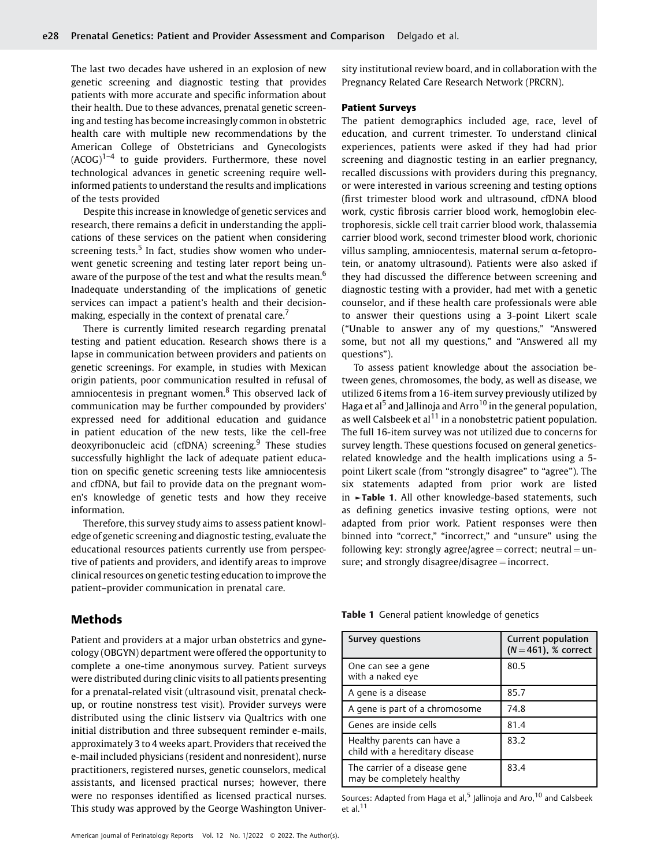The last two decades have ushered in an explosion of new genetic screening and diagnostic testing that provides patients with more accurate and specific information about their health. Due to these advances, prenatal genetic screening and testing has become increasingly common in obstetric health care with multiple new recommendations by the American College of Obstetricians and Gynecologists  $(ACOG)^{1-4}$  to guide providers. Furthermore, these novel technological advances in genetic screening require wellinformed patients to understand the results and implications of the tests provided

Despite this increase in knowledge of genetic services and research, there remains a deficit in understanding the applications of these services on the patient when considering screening tests. $5$  In fact, studies show women who underwent genetic screening and testing later report being unaware of the purpose of the test and what the results mean.<sup>6</sup> Inadequate understanding of the implications of genetic services can impact a patient's health and their decisionmaking, especially in the context of prenatal care.<sup>7</sup>

There is currently limited research regarding prenatal testing and patient education. Research shows there is a lapse in communication between providers and patients on genetic screenings. For example, in studies with Mexican origin patients, poor communication resulted in refusal of amniocentesis in pregnant women.<sup>8</sup> This observed lack of communication may be further compounded by providers' expressed need for additional education and guidance in patient education of the new tests, like the cell-free deoxyribonucleic acid (cfDNA) screening. $9$  These studies successfully highlight the lack of adequate patient education on specific genetic screening tests like amniocentesis and cfDNA, but fail to provide data on the pregnant women's knowledge of genetic tests and how they receive information.

Therefore, this survey study aims to assess patient knowledge of genetic screening and diagnostic testing, evaluate the educational resources patients currently use from perspective of patients and providers, and identify areas to improve clinical resources on genetic testing education to improve the patient–provider communication in prenatal care.

# Methods

Patient and providers at a major urban obstetrics and gynecology (OBGYN) department were offered the opportunity to complete a one-time anonymous survey. Patient surveys were distributed during clinic visits to all patients presenting for a prenatal-related visit (ultrasound visit, prenatal checkup, or routine nonstress test visit). Provider surveys were distributed using the clinic listserv via Qualtrics with one initial distribution and three subsequent reminder e-mails, approximately 3 to 4 weeks apart. Providers that received the e-mail included physicians (resident and nonresident), nurse practitioners, registered nurses, genetic counselors, medical assistants, and licensed practical nurses; however, there were no responses identified as licensed practical nurses. This study was approved by the George Washington University institutional review board, and in collaboration with the Pregnancy Related Care Research Network (PRCRN).

### Patient Surveys

The patient demographics included age, race, level of education, and current trimester. To understand clinical experiences, patients were asked if they had had prior screening and diagnostic testing in an earlier pregnancy, recalled discussions with providers during this pregnancy, or were interested in various screening and testing options (first trimester blood work and ultrasound, cfDNA blood work, cystic fibrosis carrier blood work, hemoglobin electrophoresis, sickle cell trait carrier blood work, thalassemia carrier blood work, second trimester blood work, chorionic villus sampling, amniocentesis, maternal serum α-fetoprotein, or anatomy ultrasound). Patients were also asked if they had discussed the difference between screening and diagnostic testing with a provider, had met with a genetic counselor, and if these health care professionals were able to answer their questions using a 3-point Likert scale ("Unable to answer any of my questions," "Answered some, but not all my questions," and "Answered all my questions").

To assess patient knowledge about the association between genes, chromosomes, the body, as well as disease, we utilized 6 items from a 16-item survey previously utilized by Haga et al<sup>5</sup> and Jallinoja and Arro<sup>10</sup> in the general population, as well Calsbeek et al $11$  in a nonobstetric patient population. The full 16-item survey was not utilized due to concerns for survey length. These questions focused on general geneticsrelated knowledge and the health implications using a 5 point Likert scale (from "strongly disagree" to "agree"). The six statements adapted from prior work are listed in ►Table 1. All other knowledge-based statements, such as defining genetics invasive testing options, were not adapted from prior work. Patient responses were then binned into "correct," "incorrect," and "unsure" using the following key: strongly agree/agree = correct; neutral =  $un$ sure; and strongly disagree/disagree  $=$  incorrect.

| Table 1 General patient knowledge of genetics |  |  |  |  |
|-----------------------------------------------|--|--|--|--|
|-----------------------------------------------|--|--|--|--|

| <b>Survey questions</b>                                       | Current population<br>$(N = 461)$ , % correct |  |
|---------------------------------------------------------------|-----------------------------------------------|--|
| One can see a gene<br>with a naked eye                        | 80.5                                          |  |
| A gene is a disease                                           | 85.7                                          |  |
| A gene is part of a chromosome                                | 74.8                                          |  |
| Genes are inside cells                                        | 81.4                                          |  |
| Healthy parents can have a<br>child with a hereditary disease | 83.2                                          |  |
| The carrier of a disease gene<br>may be completely healthy    | 83.4                                          |  |

Sources: Adapted from Haga et al,<sup>5</sup> Jallinoja and Aro,<sup>10</sup> and Calsbeek et al. $11$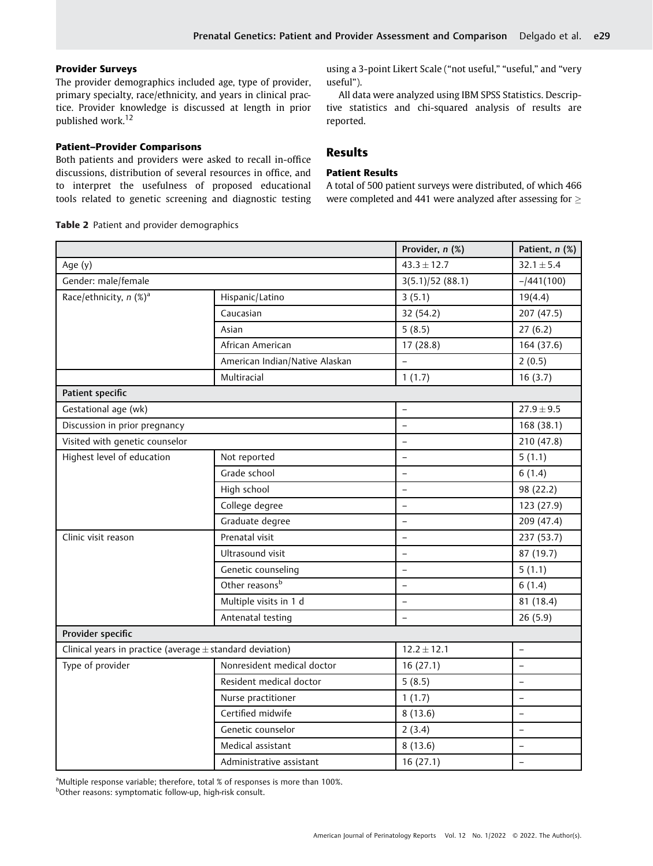# Provider Surveys

The provider demographics included age, type of provider, primary specialty, race/ethnicity, and years in clinical practice. Provider knowledge is discussed at length in prior published work.<sup>12</sup>

# Patient–Provider Comparisons

Both patients and providers were asked to recall in-office discussions, distribution of several resources in office, and to interpret the usefulness of proposed educational tools related to genetic screening and diagnostic testing

Table 2 Patient and provider demographics

using a 3-point Likert Scale ("not useful," "useful," and "very useful").

All data were analyzed using IBM SPSS Statistics. Descriptive statistics and chi-squared analysis of results are reported.

# Results

# Patient Results

A total of 500 patient surveys were distributed, of which 466 were completed and 441 were analyzed after assessing for  $\geq$ 

|                                                               |                                | Provider, n (%)          | Patient, n (%)           |
|---------------------------------------------------------------|--------------------------------|--------------------------|--------------------------|
| Age (y)                                                       |                                | $43.3 \pm 12.7$          | $32.1 \pm 5.4$           |
| Gender: male/female                                           |                                | 3(5.1)/52(88.1)          | $-1441(100)$             |
| Race/ethnicity, n (%) <sup>a</sup>                            | Hispanic/Latino                | 3(5.1)                   | 19(4.4)                  |
|                                                               | Caucasian                      | 32 (54.2)                | 207 (47.5)               |
|                                                               | Asian                          | 5(8.5)                   | 27(6.2)                  |
|                                                               | African American               | 17(28.8)                 | 164 (37.6)               |
|                                                               | American Indian/Native Alaskan |                          | 2(0.5)                   |
|                                                               | Multiracial                    | 1(1.7)                   | 16(3.7)                  |
| Patient specific                                              |                                |                          |                          |
| Gestational age (wk)                                          |                                | $\rightarrow$            | $27.9 \pm 9.5$           |
| Discussion in prior pregnancy                                 |                                | $\equiv$                 | 168 (38.1)               |
| Visited with genetic counselor                                |                                | $\qquad \qquad -$        | 210 (47.8)               |
| Highest level of education                                    | Not reported                   | $\overline{a}$           | 5(1.1)                   |
|                                                               | Grade school                   | $\overline{a}$           | 6(1.4)                   |
|                                                               | High school                    | $\overline{\phantom{0}}$ | 98 (22.2)                |
|                                                               | College degree                 | $\equiv$                 | 123 (27.9)               |
|                                                               | Graduate degree                | $\overline{a}$           | 209 (47.4)               |
| Clinic visit reason                                           | Prenatal visit                 | $\equiv$                 | 237 (53.7)               |
|                                                               | Ultrasound visit               | $\qquad \qquad -$        | 87 (19.7)                |
|                                                               | Genetic counseling             | $\equiv$                 | 5(1.1)                   |
|                                                               | Other reasonsb                 | $\overline{\phantom{0}}$ | 6(1.4)                   |
|                                                               | Multiple visits in 1 d         | $\overline{\phantom{0}}$ | 81 (18.4)                |
|                                                               | Antenatal testing              | $\overline{\phantom{a}}$ | 26(5.9)                  |
| Provider specific                                             |                                |                          |                          |
| Clinical years in practice (average $\pm$ standard deviation) |                                | $12.2 \pm 12.1$          | $\overline{\phantom{a}}$ |
| Type of provider                                              | Nonresident medical doctor     | 16(27.1)                 | $\overline{a}$           |
|                                                               | Resident medical doctor        | 5(8.5)                   | $\overline{a}$           |
|                                                               | Nurse practitioner             | 1(1.7)                   | $\equiv$                 |
|                                                               | Certified midwife              | 8(13.6)                  | $\overline{\phantom{0}}$ |
|                                                               | Genetic counselor              | 2(3.4)                   | $\qquad \qquad -$        |
|                                                               | Medical assistant              | 8(13.6)                  | $\overline{\phantom{m}}$ |
|                                                               | Administrative assistant       | 16(27.1)                 | $\overline{a}$           |

<sup>a</sup>Multiple response variable; therefore, total % of responses is more than 100%.

b Other reasons: symptomatic follow-up, high-risk consult.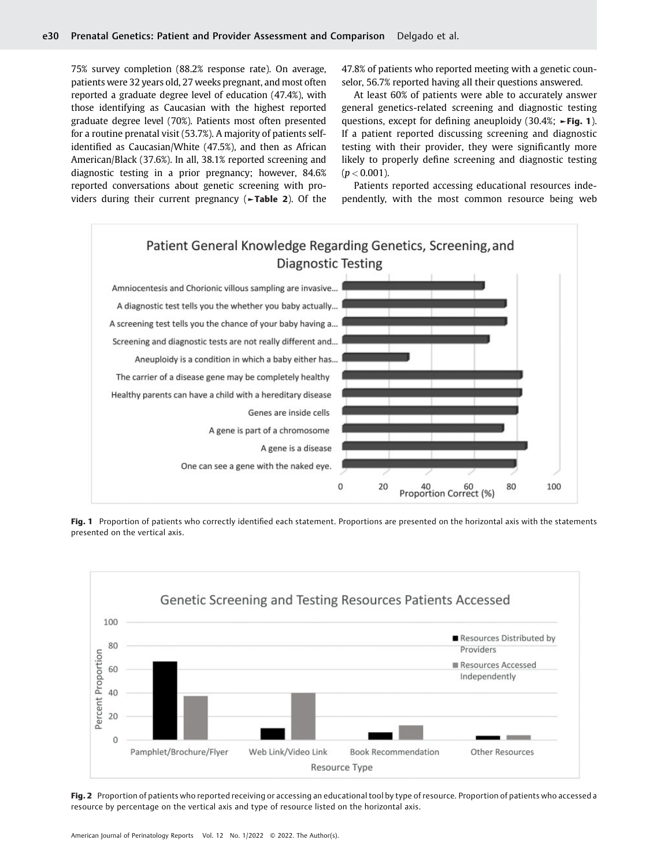75% survey completion (88.2% response rate). On average, patients were 32 years old, 27 weeks pregnant, and most often reported a graduate degree level of education (47.4%), with those identifying as Caucasian with the highest reported graduate degree level (70%). Patients most often presented for a routine prenatal visit (53.7%). A majority of patients selfidentified as Caucasian/White (47.5%), and then as African American/Black (37.6%). In all, 38.1% reported screening and diagnostic testing in a prior pregnancy; however, 84.6% reported conversations about genetic screening with providers during their current pregnancy (►Table 2). Of the 47.8% of patients who reported meeting with a genetic counselor, 56.7% reported having all their questions answered.

At least 60% of patients were able to accurately answer general genetics-related screening and diagnostic testing questions, except for defining aneuploidy (30.4%; ►Fig. 1). If a patient reported discussing screening and diagnostic testing with their provider, they were significantly more likely to properly define screening and diagnostic testing  $(p < 0.001)$ .

Patients reported accessing educational resources independently, with the most common resource being web



Fig. 1 Proportion of patients who correctly identified each statement. Proportions are presented on the horizontal axis with the statements presented on the vertical axis.



Fig. 2 Proportion of patients who reported receiving or accessing an educational tool by type of resource. Proportion of patients who accessed a resource by percentage on the vertical axis and type of resource listed on the horizontal axis.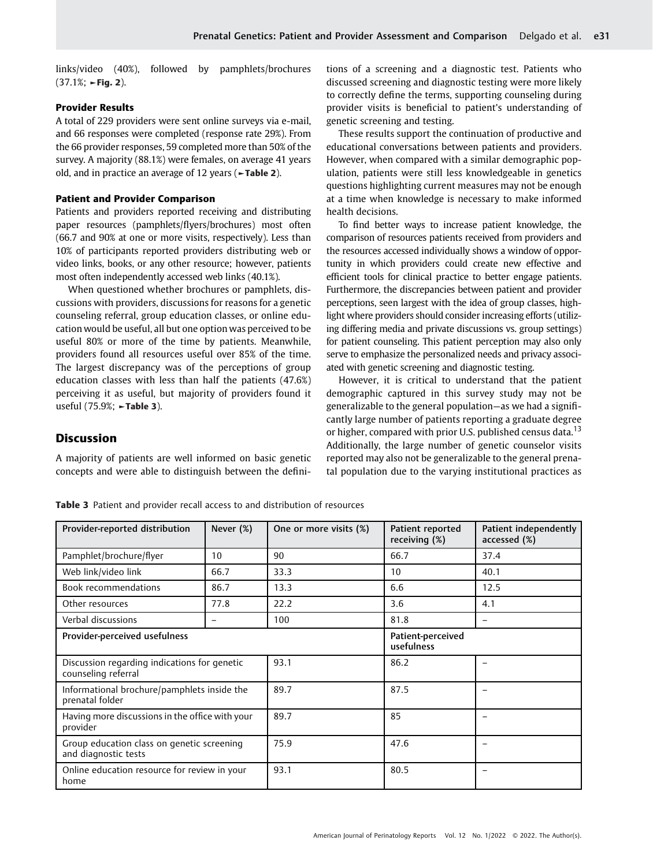links/video (40%), followed by pamphlets/brochures  $(37.1\%; \rightarrow$ Fig. 2).

# Provider Results

A total of 229 providers were sent online surveys via e-mail, and 66 responses were completed (response rate 29%). From the 66 provider responses, 59 completed more than 50% of the survey. A majority (88.1%) were females, on average 41 years old, and in practice an average of 12 years (►Table 2).

# Patient and Provider Comparison

Patients and providers reported receiving and distributing paper resources (pamphlets/flyers/brochures) most often (66.7 and 90% at one or more visits, respectively). Less than 10% of participants reported providers distributing web or video links, books, or any other resource; however, patients most often independently accessed web links (40.1%).

When questioned whether brochures or pamphlets, discussions with providers, discussions for reasons for a genetic counseling referral, group education classes, or online education would be useful, all but one option was perceived to be useful 80% or more of the time by patients. Meanwhile, providers found all resources useful over 85% of the time. The largest discrepancy was of the perceptions of group education classes with less than half the patients (47.6%) perceiving it as useful, but majority of providers found it useful (75.9%; ►Table 3).

# **Discussion**

A majority of patients are well informed on basic genetic concepts and were able to distinguish between the definitions of a screening and a diagnostic test. Patients who discussed screening and diagnostic testing were more likely to correctly define the terms, supporting counseling during provider visits is beneficial to patient's understanding of genetic screening and testing.

These results support the continuation of productive and educational conversations between patients and providers. However, when compared with a similar demographic population, patients were still less knowledgeable in genetics questions highlighting current measures may not be enough at a time when knowledge is necessary to make informed health decisions.

To find better ways to increase patient knowledge, the comparison of resources patients received from providers and the resources accessed individually shows a window of opportunity in which providers could create new effective and efficient tools for clinical practice to better engage patients. Furthermore, the discrepancies between patient and provider perceptions, seen largest with the idea of group classes, highlight where providers should consider increasing efforts (utilizing differing media and private discussions vs. group settings) for patient counseling. This patient perception may also only serve to emphasize the personalized needs and privacy associated with genetic screening and diagnostic testing.

However, it is critical to understand that the patient demographic captured in this survey study may not be generalizable to the general population—as we had a significantly large number of patients reporting a graduate degree or higher, compared with prior U.S. published census data.<sup>13</sup> Additionally, the large number of genetic counselor visits reported may also not be generalizable to the general prenatal population due to the varying institutional practices as

| Provider-reported distribution                                      | Never (%) | One or more visits (%) | Patient reported<br>receiving (%) | Patient independently<br>accessed (%) |
|---------------------------------------------------------------------|-----------|------------------------|-----------------------------------|---------------------------------------|
| Pamphlet/brochure/flyer                                             | 10        | 90                     | 66.7                              | 37.4                                  |
| Web link/video link                                                 | 66.7      | 33.3                   | 10                                | 40.1                                  |
| <b>Book recommendations</b>                                         | 86.7      | 13.3                   | 6.6                               | 12.5                                  |
| Other resources                                                     | 77.8      | 22.2                   | 3.6                               | 4.1                                   |
| Verbal discussions                                                  | -         | 100                    | 81.8                              |                                       |
| Provider-perceived usefulness                                       |           |                        | Patient-perceived<br>usefulness   |                                       |
| Discussion regarding indications for genetic<br>counseling referral |           | 93.1                   | 86.2                              |                                       |
| Informational brochure/pamphlets inside the<br>prenatal folder      |           | 89.7                   | 87.5                              |                                       |
| Having more discussions in the office with your<br>provider         |           | 89.7                   | 85                                |                                       |
| Group education class on genetic screening<br>and diagnostic tests  |           | 75.9                   | 47.6                              |                                       |
| Online education resource for review in your<br>home                |           | 93.1                   | 80.5                              |                                       |

Table 3 Patient and provider recall access to and distribution of resources